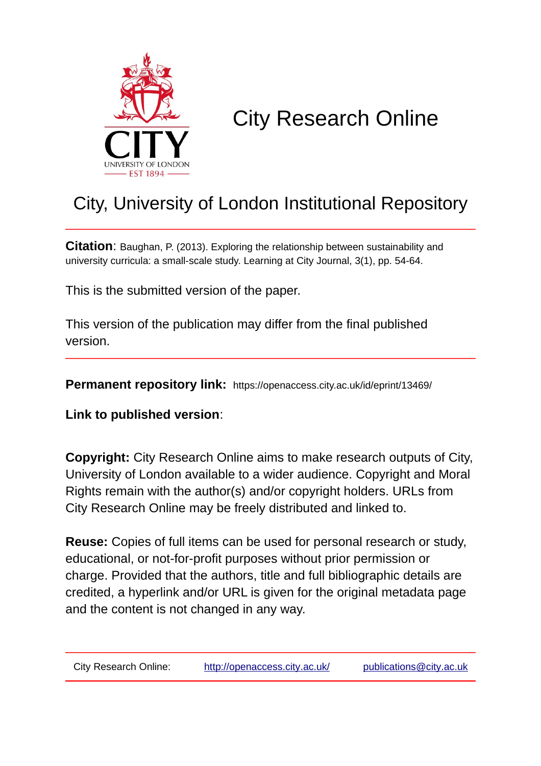

# City Research Online

## City, University of London Institutional Repository

**Citation**: Baughan, P. (2013). Exploring the relationship between sustainability and university curricula: a small-scale study. Learning at City Journal, 3(1), pp. 54-64.

This is the submitted version of the paper.

This version of the publication may differ from the final published version.

**Permanent repository link:** https://openaccess.city.ac.uk/id/eprint/13469/

**Link to published version**:

**Copyright:** City Research Online aims to make research outputs of City, University of London available to a wider audience. Copyright and Moral Rights remain with the author(s) and/or copyright holders. URLs from City Research Online may be freely distributed and linked to.

**Reuse:** Copies of full items can be used for personal research or study, educational, or not-for-profit purposes without prior permission or charge. Provided that the authors, title and full bibliographic details are credited, a hyperlink and/or URL is given for the original metadata page and the content is not changed in any way.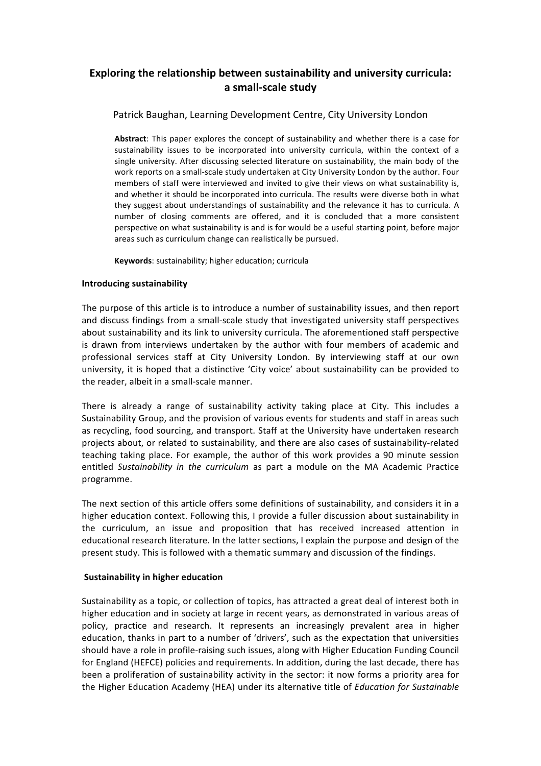### **Exploring the relationship between sustainability and university curricula: a small-scale study**

#### Patrick Baughan, Learning Development Centre, City University London

Abstract: This paper explores the concept of sustainability and whether there is a case for sustainability issues to be incorporated into university curricula, within the context of a single university. After discussing selected literature on sustainability, the main body of the work reports on a small-scale study undertaken at City University London by the author. Four members of staff were interviewed and invited to give their views on what sustainability is, and whether it should be incorporated into curricula. The results were diverse both in what they suggest about understandings of sustainability and the relevance it has to curricula. A number of closing comments are offered, and it is concluded that a more consistent perspective on what sustainability is and is for would be a useful starting point, before major areas such as curriculum change can realistically be pursued.

**Keywords:** sustainability; higher education; curricula

#### **Introducing sustainability**

The purpose of this article is to introduce a number of sustainability issues, and then report and discuss findings from a small-scale study that investigated university staff perspectives about sustainability and its link to university curricula. The aforementioned staff perspective is drawn from interviews undertaken by the author with four members of academic and professional services staff at City University London. By interviewing staff at our own university, it is hoped that a distinctive 'City voice' about sustainability can be provided to the reader, albeit in a small-scale manner.

There is already a range of sustainability activity taking place at City. This includes a Sustainability Group, and the provision of various events for students and staff in areas such as recycling, food sourcing, and transport. Staff at the University have undertaken research projects about, or related to sustainability, and there are also cases of sustainability-related teaching taking place. For example, the author of this work provides a 90 minute session entitled Sustainability in the curriculum as part a module on the MA Academic Practice programme. 

The next section of this article offers some definitions of sustainability, and considers it in a higher education context. Following this, I provide a fuller discussion about sustainability in the curriculum, an issue and proposition that has received increased attention in educational research literature. In the latter sections, I explain the purpose and design of the present study. This is followed with a thematic summary and discussion of the findings.

#### **Sustainability in higher education**

Sustainability as a topic, or collection of topics, has attracted a great deal of interest both in higher education and in society at large in recent years, as demonstrated in various areas of policy, practice and research. It represents an increasingly prevalent area in higher education, thanks in part to a number of 'drivers', such as the expectation that universities should have a role in profile-raising such issues, along with Higher Education Funding Council for England (HEFCE) policies and requirements. In addition, during the last decade, there has been a proliferation of sustainability activity in the sector: it now forms a priority area for the Higher Education Academy (HEA) under its alternative title of *Education for Sustainable*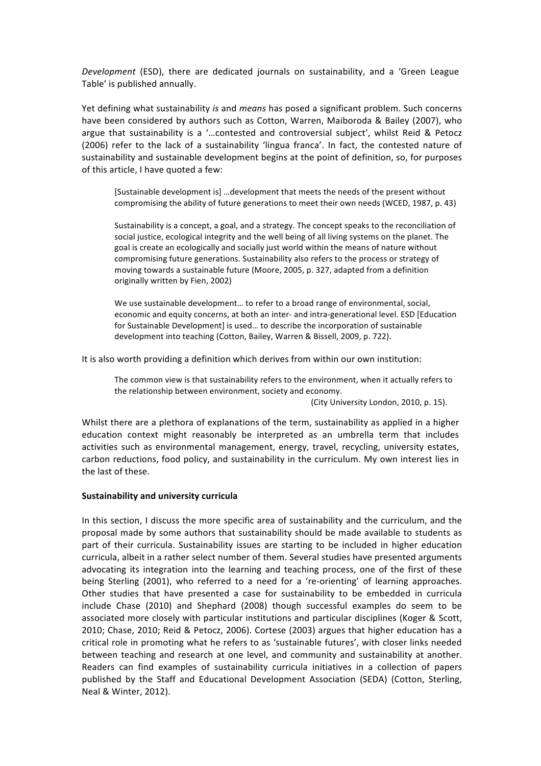*Development* (ESD), there are dedicated journals on sustainability, and a 'Green League Table' is published annually.

Yet defining what sustainability *is* and *means* has posed a significant problem. Such concerns have been considered by authors such as Cotton, Warren, Maiboroda & Bailey (2007), who argue that sustainability is a '...contested and controversial subject', whilst Reid & Petocz (2006) refer to the lack of a sustainability 'lingua franca'. In fact, the contested nature of sustainability and sustainable development begins at the point of definition, so, for purposes of this article, I have quoted a few:

[Sustainable development is] ...development that meets the needs of the present without compromising the ability of future generations to meet their own needs (WCED, 1987, p. 43)

Sustainability is a concept, a goal, and a strategy. The concept speaks to the reconciliation of social justice, ecological integrity and the well being of all living systems on the planet. The goal is create an ecologically and socially just world within the means of nature without compromising future generations. Sustainability also refers to the process or strategy of moving towards a sustainable future (Moore, 2005, p. 327, adapted from a definition originally written by Fien, 2002)

We use sustainable development... to refer to a broad range of environmental, social, economic and equity concerns, at both an inter- and intra-generational level. ESD [Education for Sustainable Development] is used... to describe the incorporation of sustainable development into teaching (Cotton, Bailey, Warren & Bissell, 2009, p. 722).

It is also worth providing a definition which derives from within our own institution:

The common view is that sustainability refers to the environment, when it actually refers to the relationship between environment, society and economy.

(City University London, 2010, p. 15).

Whilst there are a plethora of explanations of the term, sustainability as applied in a higher education context might reasonably be interpreted as an umbrella term that includes activities such as environmental management, energy, travel, recycling, university estates, carbon reductions, food policy, and sustainability in the curriculum. My own interest lies in the last of these.

#### **Sustainability and university curricula**

In this section, I discuss the more specific area of sustainability and the curriculum, and the proposal made by some authors that sustainability should be made available to students as part of their curricula. Sustainability issues are starting to be included in higher education curricula, albeit in a rather select number of them. Several studies have presented arguments advocating its integration into the learning and teaching process, one of the first of these being Sterling (2001), who referred to a need for a 're-orienting' of learning approaches. Other studies that have presented a case for sustainability to be embedded in curricula include Chase (2010) and Shephard (2008) though successful examples do seem to be associated more closely with particular institutions and particular disciplines (Koger & Scott, 2010; Chase, 2010; Reid & Petocz, 2006). Cortese (2003) argues that higher education has a critical role in promoting what he refers to as 'sustainable futures', with closer links needed between teaching and research at one level, and community and sustainability at another. Readers can find examples of sustainability curricula initiatives in a collection of papers published by the Staff and Educational Development Association (SEDA) (Cotton, Sterling, Neal & Winter, 2012).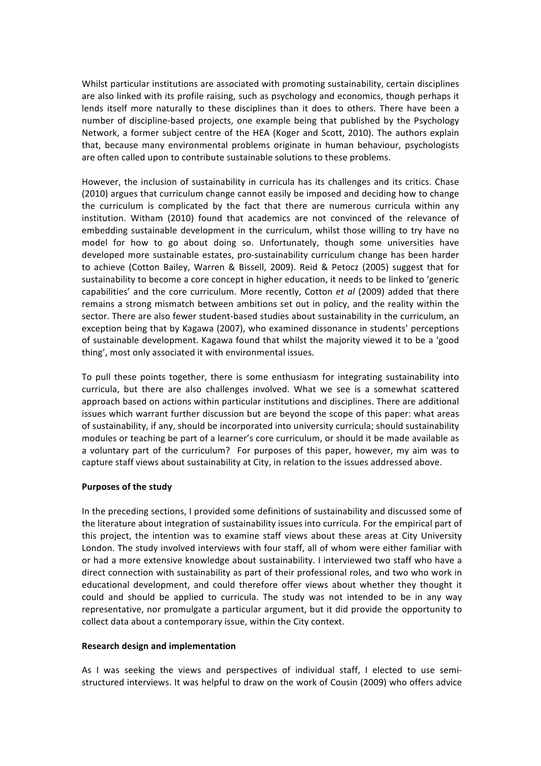Whilst particular institutions are associated with promoting sustainability, certain disciplines are also linked with its profile raising, such as psychology and economics, though perhaps it lends itself more naturally to these disciplines than it does to others. There have been a number of discipline-based projects, one example being that published by the Psychology Network, a former subject centre of the HEA (Koger and Scott, 2010). The authors explain that, because many environmental problems originate in human behaviour, psychologists are often called upon to contribute sustainable solutions to these problems.

However, the inclusion of sustainability in curricula has its challenges and its critics. Chase (2010) argues that curriculum change cannot easily be imposed and deciding how to change the curriculum is complicated by the fact that there are numerous curricula within any institution. Witham (2010) found that academics are not convinced of the relevance of embedding sustainable development in the curriculum, whilst those willing to try have no model for how to go about doing so. Unfortunately, though some universities have developed more sustainable estates, pro-sustainability curriculum change has been harder to achieve (Cotton Bailey, Warren & Bissell, 2009). Reid & Petocz (2005) suggest that for sustainability to become a core concept in higher education, it needs to be linked to 'generic capabilities' and the core curriculum. More recently, Cotton et al (2009) added that there remains a strong mismatch between ambitions set out in policy, and the reality within the sector. There are also fewer student-based studies about sustainability in the curriculum, an exception being that by Kagawa (2007), who examined dissonance in students' perceptions of sustainable development. Kagawa found that whilst the majority viewed it to be a 'good thing', most only associated it with environmental issues.

To pull these points together, there is some enthusiasm for integrating sustainability into curricula, but there are also challenges involved. What we see is a somewhat scattered approach based on actions within particular institutions and disciplines. There are additional issues which warrant further discussion but are beyond the scope of this paper: what areas of sustainability, if any, should be incorporated into university curricula; should sustainability modules or teaching be part of a learner's core curriculum, or should it be made available as a voluntary part of the curriculum? For purposes of this paper, however, my aim was to capture staff views about sustainability at City, in relation to the issues addressed above.

#### **Purposes of the study**

In the preceding sections, I provided some definitions of sustainability and discussed some of the literature about integration of sustainability issues into curricula. For the empirical part of this project, the intention was to examine staff views about these areas at City University London. The study involved interviews with four staff, all of whom were either familiar with or had a more extensive knowledge about sustainability. I interviewed two staff who have a direct connection with sustainability as part of their professional roles, and two who work in educational development, and could therefore offer views about whether they thought it could and should be applied to curricula. The study was not intended to be in any way representative, nor promulgate a particular argument, but it did provide the opportunity to collect data about a contemporary issue, within the City context.

#### **Research design and implementation**

As I was seeking the views and perspectives of individual staff, I elected to use semistructured interviews. It was helpful to draw on the work of Cousin (2009) who offers advice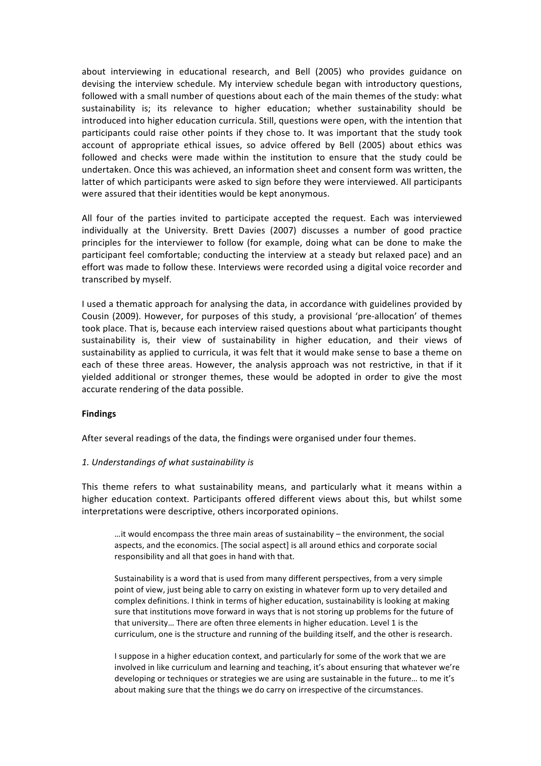about interviewing in educational research, and Bell (2005) who provides guidance on devising the interview schedule. My interview schedule began with introductory questions, followed with a small number of questions about each of the main themes of the study: what sustainability is; its relevance to higher education; whether sustainability should be introduced into higher education curricula. Still, questions were open, with the intention that participants could raise other points if they chose to. It was important that the study took account of appropriate ethical issues, so advice offered by Bell (2005) about ethics was followed and checks were made within the institution to ensure that the study could be undertaken. Once this was achieved, an information sheet and consent form was written, the latter of which participants were asked to sign before they were interviewed. All participants were assured that their identities would be kept anonymous.

All four of the parties invited to participate accepted the request. Each was interviewed individually at the University. Brett Davies (2007) discusses a number of good practice principles for the interviewer to follow (for example, doing what can be done to make the participant feel comfortable; conducting the interview at a steady but relaxed pace) and an effort was made to follow these. Interviews were recorded using a digital voice recorder and transcribed by myself.

I used a thematic approach for analysing the data, in accordance with guidelines provided by Cousin (2009). However, for purposes of this study, a provisional 'pre-allocation' of themes took place. That is, because each interview raised questions about what participants thought sustainability is, their view of sustainability in higher education, and their views of sustainability as applied to curricula, it was felt that it would make sense to base a theme on each of these three areas. However, the analysis approach was not restrictive, in that if it yielded additional or stronger themes, these would be adopted in order to give the most accurate rendering of the data possible.

#### **Findings**

After several readings of the data, the findings were organised under four themes.

#### 1. Understandings of what sustainability is

This theme refers to what sustainability means, and particularly what it means within a higher education context. Participants offered different views about this, but whilst some interpretations were descriptive, others incorporated opinions.

…it would encompass the three main areas of sustainability  $-$  the environment, the social aspects, and the economics. [The social aspect] is all around ethics and corporate social responsibility and all that goes in hand with that.

Sustainability is a word that is used from many different perspectives, from a very simple point of view, just being able to carry on existing in whatever form up to very detailed and complex definitions. I think in terms of higher education, sustainability is looking at making sure that institutions move forward in ways that is not storing up problems for the future of that university... There are often three elements in higher education. Level 1 is the curriculum, one is the structure and running of the building itself, and the other is research.

I suppose in a higher education context, and particularly for some of the work that we are involved in like curriculum and learning and teaching, it's about ensuring that whatever we're developing or techniques or strategies we are using are sustainable in the future... to me it's about making sure that the things we do carry on irrespective of the circumstances.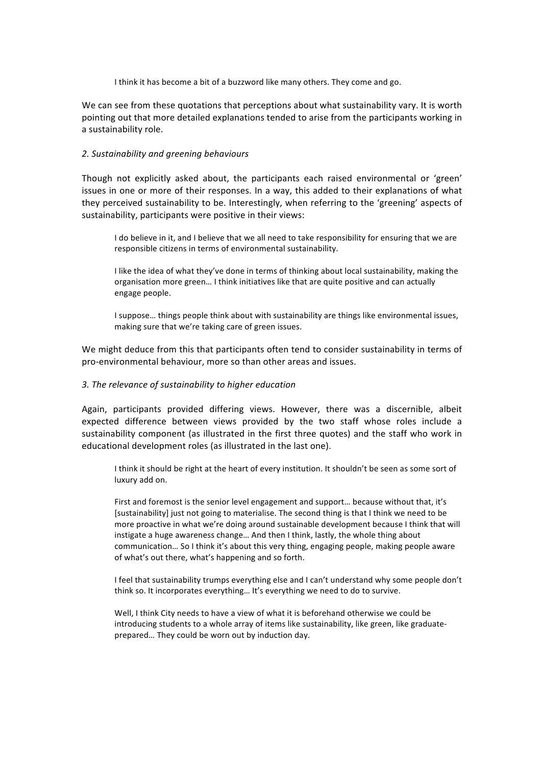I think it has become a bit of a buzzword like many others. They come and go.

We can see from these quotations that perceptions about what sustainability vary. It is worth pointing out that more detailed explanations tended to arise from the participants working in a sustainability role.

#### *2. Sustainability and greening behaviours*

Though not explicitly asked about, the participants each raised environmental or 'green' issues in one or more of their responses. In a way, this added to their explanations of what they perceived sustainability to be. Interestingly, when referring to the 'greening' aspects of sustainability, participants were positive in their views:

I do believe in it, and I believe that we all need to take responsibility for ensuring that we are responsible citizens in terms of environmental sustainability.

I like the idea of what they've done in terms of thinking about local sustainability, making the organisation more green... I think initiatives like that are quite positive and can actually engage people.

I suppose... things people think about with sustainability are things like environmental issues, making sure that we're taking care of green issues.

We might deduce from this that participants often tend to consider sustainability in terms of pro-environmental behaviour, more so than other areas and issues.

#### *3. The relevance of sustainability to higher education*

Again, participants provided differing views. However, there was a discernible, albeit expected difference between views provided by the two staff whose roles include a sustainability component (as illustrated in the first three quotes) and the staff who work in educational development roles (as illustrated in the last one).

I think it should be right at the heart of every institution. It shouldn't be seen as some sort of luxury add on.

First and foremost is the senior level engagement and support... because without that, it's [sustainability] just not going to materialise. The second thing is that I think we need to be more proactive in what we're doing around sustainable development because I think that will instigate a huge awareness change... And then I think, lastly, the whole thing about communication... So I think it's about this very thing, engaging people, making people aware of what's out there, what's happening and so forth.

I feel that sustainability trumps everything else and I can't understand why some people don't think so. It incorporates everything... It's everything we need to do to survive.

Well, I think City needs to have a view of what it is beforehand otherwise we could be introducing students to a whole array of items like sustainability, like green, like graduateprepared... They could be worn out by induction day.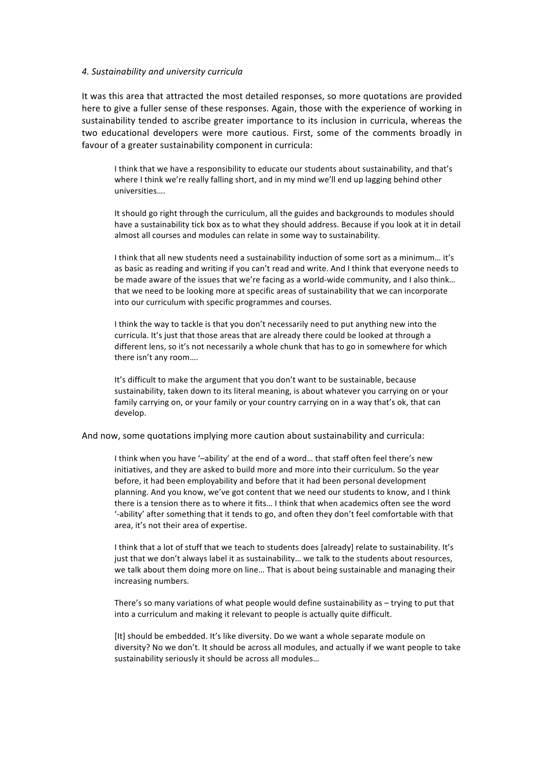#### *4. Sustainability and university curricula*

It was this area that attracted the most detailed responses, so more quotations are provided here to give a fuller sense of these responses. Again, those with the experience of working in sustainability tended to ascribe greater importance to its inclusion in curricula, whereas the two educational developers were more cautious. First, some of the comments broadly in favour of a greater sustainability component in curricula:

I think that we have a responsibility to educate our students about sustainability, and that's where I think we're really falling short, and in my mind we'll end up lagging behind other universities…. 

It should go right through the curriculum, all the guides and backgrounds to modules should have a sustainability tick box as to what they should address. Because if you look at it in detail almost all courses and modules can relate in some way to sustainability.

I think that all new students need a sustainability induction of some sort as a minimum... it's as basic as reading and writing if you can't read and write. And I think that everyone needs to be made aware of the issues that we're facing as a world-wide community, and I also think... that we need to be looking more at specific areas of sustainability that we can incorporate into our curriculum with specific programmes and courses.

I think the way to tackle is that you don't necessarily need to put anything new into the curricula. It's just that those areas that are already there could be looked at through a different lens, so it's not necessarily a whole chunk that has to go in somewhere for which there isn't any room....

It's difficult to make the argument that you don't want to be sustainable, because sustainability, taken down to its literal meaning, is about whatever you carrying on or your family carrying on, or your family or your country carrying on in a way that's ok, that can develop.

And now, some quotations implying more caution about sustainability and curricula:

I think when you have '-ability' at the end of a word... that staff often feel there's new initiatives, and they are asked to build more and more into their curriculum. So the year before, it had been employability and before that it had been personal development planning. And you know, we've got content that we need our students to know, and I think there is a tension there as to where it fits... I think that when academics often see the word '-ability' after something that it tends to go, and often they don't feel comfortable with that area, it's not their area of expertise.

I think that a lot of stuff that we teach to students does [already] relate to sustainability. It's just that we don't always label it as sustainability... we talk to the students about resources, we talk about them doing more on line... That is about being sustainable and managing their increasing numbers.

There's so many variations of what people would define sustainability as  $-$  trying to put that into a curriculum and making it relevant to people is actually quite difficult.

[It] should be embedded. It's like diversity. Do we want a whole separate module on diversity? No we don't. It should be across all modules, and actually if we want people to take sustainability seriously it should be across all modules...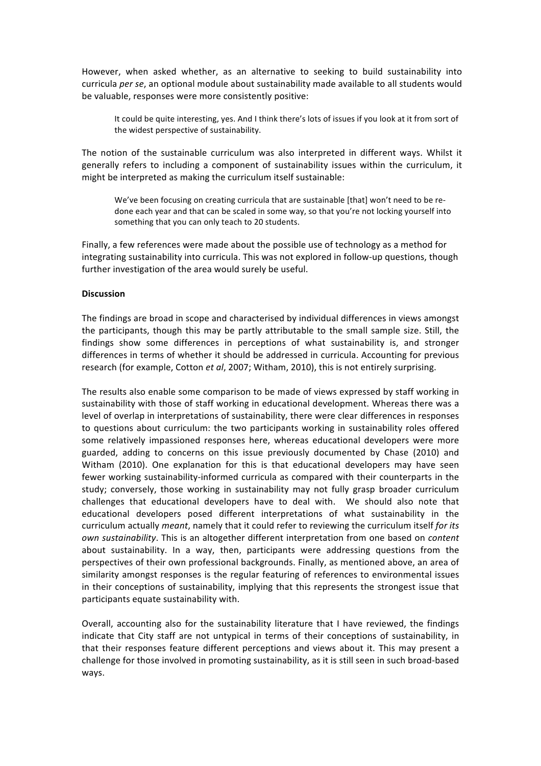However, when asked whether, as an alternative to seeking to build sustainability into curricula per se, an optional module about sustainability made available to all students would be valuable, responses were more consistently positive:

It could be quite interesting, yes. And I think there's lots of issues if you look at it from sort of the widest perspective of sustainability.

The notion of the sustainable curriculum was also interpreted in different ways. Whilst it generally refers to including a component of sustainability issues within the curriculum, it might be interpreted as making the curriculum itself sustainable:

We've been focusing on creating curricula that are sustainable [that] won't need to be redone each year and that can be scaled in some way, so that you're not locking yourself into something that you can only teach to 20 students.

Finally, a few references were made about the possible use of technology as a method for integrating sustainability into curricula. This was not explored in follow-up questions, though further investigation of the area would surely be useful.

#### **Discussion**

The findings are broad in scope and characterised by individual differences in views amongst the participants, though this may be partly attributable to the small sample size. Still, the findings show some differences in perceptions of what sustainability is, and stronger differences in terms of whether it should be addressed in curricula. Accounting for previous research (for example, Cotton *et al.* 2007; Witham, 2010), this is not entirely surprising.

The results also enable some comparison to be made of views expressed by staff working in sustainability with those of staff working in educational development. Whereas there was a level of overlap in interpretations of sustainability, there were clear differences in responses to questions about curriculum: the two participants working in sustainability roles offered some relatively impassioned responses here, whereas educational developers were more guarded, adding to concerns on this issue previously documented by Chase (2010) and Witham (2010). One explanation for this is that educational developers may have seen fewer working sustainability-informed curricula as compared with their counterparts in the study; conversely, those working in sustainability may not fully grasp broader curriculum challenges that educational developers have to deal with. We should also note that educational developers posed different interpretations of what sustainability in the curriculum actually *meant*, namely that it could refer to reviewing the curriculum itself for its *own sustainability*. This is an altogether different interpretation from one based on *content* about sustainability. In a way, then, participants were addressing questions from the perspectives of their own professional backgrounds. Finally, as mentioned above, an area of similarity amongst responses is the regular featuring of references to environmental issues in their conceptions of sustainability, implying that this represents the strongest issue that participants equate sustainability with.

Overall, accounting also for the sustainability literature that I have reviewed, the findings indicate that City staff are not untypical in terms of their conceptions of sustainability, in that their responses feature different perceptions and views about it. This may present a challenge for those involved in promoting sustainability, as it is still seen in such broad-based ways.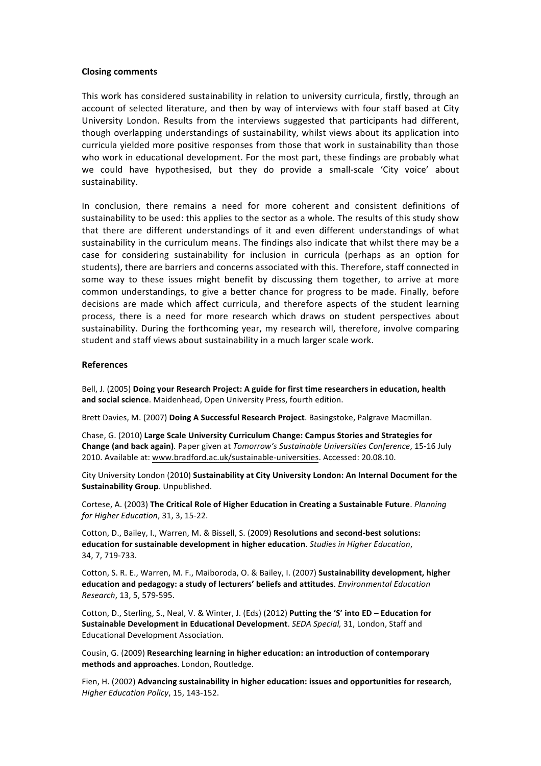#### **Closing comments**

This work has considered sustainability in relation to university curricula, firstly, through an account of selected literature, and then by way of interviews with four staff based at City University London. Results from the interviews suggested that participants had different, though overlapping understandings of sustainability, whilst views about its application into curricula yielded more positive responses from those that work in sustainability than those who work in educational development. For the most part, these findings are probably what we could have hypothesised, but they do provide a small-scale 'City voice' about sustainability.

In conclusion, there remains a need for more coherent and consistent definitions of sustainability to be used: this applies to the sector as a whole. The results of this study show that there are different understandings of it and even different understandings of what sustainability in the curriculum means. The findings also indicate that whilst there may be a case for considering sustainability for inclusion in curricula (perhaps as an option for students), there are barriers and concerns associated with this. Therefore, staff connected in some way to these issues might benefit by discussing them together, to arrive at more common understandings, to give a better chance for progress to be made. Finally, before decisions are made which affect curricula, and therefore aspects of the student learning process, there is a need for more research which draws on student perspectives about sustainability. During the forthcoming year, my research will, therefore, involve comparing student and staff views about sustainability in a much larger scale work.

#### **References**

Bell, J. (2005) Doing your Research Project: A guide for first time researchers in education, health and social science. Maidenhead, Open University Press, fourth edition.

Brett Davies, M. (2007) Doing A Successful Research Project. Basingstoke, Palgrave Macmillan.

Chase, G. (2010) Large Scale University Curriculum Change: Campus Stories and Strategies for **Change (and back again)**. Paper given at *Tomorrow's Sustainable Universities Conference*, 15-16 July 2010. Available at: www.bradford.ac.uk/sustainable-universities. Accessed: 20.08.10.

City University London (2010) Sustainability at City University London: An Internal Document for the **Sustainability Group**. Unpublished.

Cortese, A. (2003) The Critical Role of Higher Education in Creating a Sustainable Future. *Planning for Higher Education*, 31, 3, 15-22.

Cotton, D., Bailey, I., Warren, M. & Bissell, S. (2009) **Resolutions and second-best solutions: education for sustainable development in higher education**. *Studies in Higher Education*, 34, 7, 719-733.

Cotton, S. R. E., Warren, M. F., Maiboroda, O. & Bailey, I. (2007) **Sustainability development, higher education and pedagogy: a study of lecturers' beliefs and attitudes**. *Environmental Education Research*, 13, 5, 579-595.

Cotton, D., Sterling, S., Neal, V. & Winter, J. (Eds) (2012) Putting the 'S' into ED - Education for **Sustainable Development in Educational Development**. *SEDA Special*, 31, London, Staff and Educational Development Association.

Cousin, G. (2009) Researching learning in higher education: an introduction of contemporary methods and approaches. London, Routledge.

Fien, H. (2002) Advancing sustainability in higher education: issues and opportunities for research, *Higher Education Policy*, 15, 143-152.